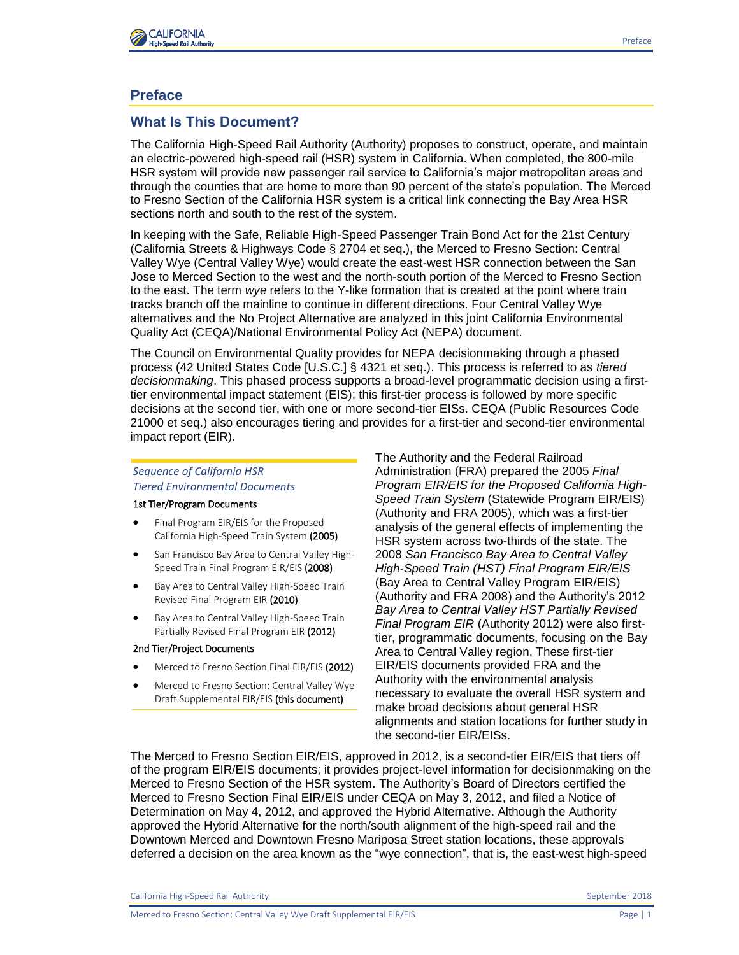

# **Preface**

## **What Is This Document?**

The California High-Speed Rail Authority (Authority) proposes to construct, operate, and maintain an electric-powered high-speed rail (HSR) system in California. When completed, the 800-mile HSR system will provide new passenger rail service to California's major metropolitan areas and through the counties that are home to more than 90 percent of the state's population. The Merced to Fresno Section of the California HSR system is a critical link connecting the Bay Area HSR sections north and south to the rest of the system.

In keeping with the Safe, Reliable High-Speed Passenger Train Bond Act for the 21st Century (California Streets & Highways Code § 2704 et seq.), the Merced to Fresno Section: Central Valley Wye (Central Valley Wye) would create the east-west HSR connection between the San Jose to Merced Section to the west and the north-south portion of the Merced to Fresno Section to the east. The term *wye* refers to the Y-like formation that is created at the point where train tracks branch off the mainline to continue in different directions. Four Central Valley Wye alternatives and the No Project Alternative are analyzed in this joint California Environmental Quality Act (CEQA)/National Environmental Policy Act (NEPA) document.

The Council on Environmental Quality provides for NEPA decisionmaking through a phased process (42 United States Code [U.S.C.] § 4321 et seq.). This process is referred to as *tiered decisionmaking*. This phased process supports a broad-level programmatic decision using a firsttier environmental impact statement (EIS); this first-tier process is followed by more specific decisions at the second tier, with one or more second-tier EISs. CEQA (Public Resources Code 21000 et seq.) also encourages tiering and provides for a first-tier and second-tier environmental impact report (EIR).

### *Sequence of California HSR Tiered Environmental Documents*

### 1st Tier/Program Documents

- **•** Final Program EIR/EIS for the Proposed California High-Speed Train System (2005)
- **San Francisco Bay Area to Central Valley High-**Speed Train Final Program EIR/EIS (2008)
- Bay Area to Central Valley High-Speed Train Revised Final Program EIR (2010)
- **•** Bay Area to Central Valley High-Speed Train Partially Revised Final Program EIR (2012)

#### 2nd Tier/Project Documents

- Merced to Fresno Section Final EIR/EIS (2012)
- Merced to Fresno Section: Central Valley Wye Draft Supplemental EIR/EIS (this document)

The Authority and the Federal Railroad Administration (FRA) prepared the 2005 *Final Program EIR/EIS for the Proposed California High-Speed Train System* (Statewide Program EIR/EIS) (Authority and FRA 2005), which was a first-tier analysis of the general effects of implementing the HSR system across two-thirds of the state. The 2008 *San Francisco Bay Area to Central Valley High-Speed Train (HST) Final Program EIR/EIS* (Bay Area to Central Valley Program EIR/EIS) (Authority and FRA 2008) and the Authority's 2012 *Bay Area to Central Valley HST Partially Revised Final Program EIR* (Authority 2012) were also firsttier, programmatic documents, focusing on the Bay Area to Central Valley region. These first-tier EIR/EIS documents provided FRA and the Authority with the environmental analysis necessary to evaluate the overall HSR system and make broad decisions about general HSR alignments and station locations for further study in the second-tier EIR/EISs.

The Merced to Fresno Section EIR/EIS, approved in 2012, is a second-tier EIR/EIS that tiers off of the program EIR/EIS documents; it provides project-level information for decisionmaking on the Merced to Fresno Section of the HSR system. The Authority's Board of Directors certified the Merced to Fresno Section Final EIR/EIS under CEQA on May 3, 2012, and filed a Notice of Determination on May 4, 2012, and approved the Hybrid Alternative. Although the Authority approved the Hybrid Alternative for the north/south alignment of the high‐speed rail and the Downtown Merced and Downtown Fresno Mariposa Street station locations, these approvals deferred a decision on the area known as the "wye connection", that is, the east-west high-speed

California High-Speed Rail Authority **September 2018** September 2018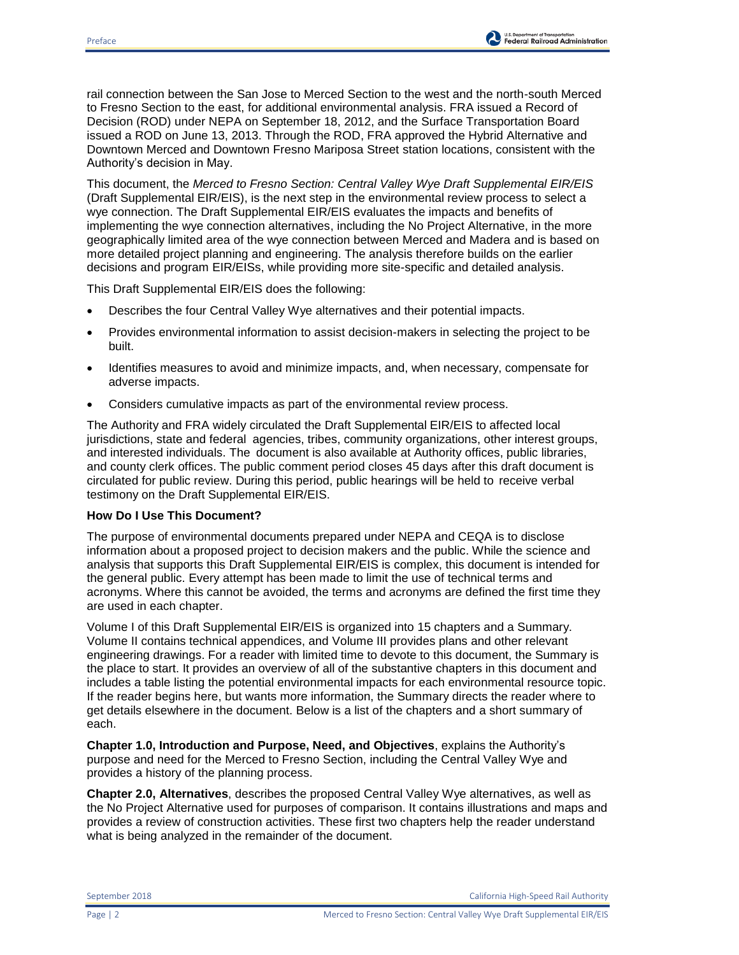rail connection between the San Jose to Merced Section to the west and the north-south Merced to Fresno Section to the east, for additional environmental analysis. FRA issued a Record of Decision (ROD) under NEPA on September 18, 2012, and the Surface Transportation Board issued a ROD on June 13, 2013. Through the ROD, FRA approved the Hybrid Alternative and Downtown Merced and Downtown Fresno Mariposa Street station locations, consistent with the Authority's decision in May.

This document, the *Merced to Fresno Section: Central Valley Wye Draft Supplemental EIR/EIS* (Draft Supplemental EIR/EIS), is the next step in the environmental review process to select a wye connection. The Draft Supplemental EIR/EIS evaluates the impacts and benefits of implementing the wye connection alternatives, including the No Project Alternative, in the more geographically limited area of the wye connection between Merced and Madera and is based on more detailed project planning and engineering. The analysis therefore builds on the earlier decisions and program EIR/EISs, while providing more site-specific and detailed analysis.

This Draft Supplemental EIR/EIS does the following:

- Describes the four Central Valley Wye alternatives and their potential impacts.
- Provides environmental information to assist decision-makers in selecting the project to be built.
- Identifies measures to avoid and minimize impacts, and, when necessary, compensate for adverse impacts.
- Considers cumulative impacts as part of the environmental review process.

The Authority and FRA widely circulated the Draft Supplemental EIR/EIS to affected local jurisdictions, state and federal agencies, tribes, community organizations, other interest groups, and interested individuals. The document is also available at Authority offices, public libraries, and county clerk offices. The public comment period closes 45 days after this draft document is circulated for public review. During this period, public hearings will be held to receive verbal testimony on the Draft Supplemental EIR/EIS.

## **How Do I Use This Document?**

The purpose of environmental documents prepared under NEPA and CEQA is to disclose information about a proposed project to decision makers and the public. While the science and analysis that supports this Draft Supplemental EIR/EIS is complex, this document is intended for the general public. Every attempt has been made to limit the use of technical terms and acronyms. Where this cannot be avoided, the terms and acronyms are defined the first time they are used in each chapter.

Volume I of this Draft Supplemental EIR/EIS is organized into 15 chapters and a Summary. Volume II contains technical appendices, and Volume III provides plans and other relevant engineering drawings. For a reader with limited time to devote to this document, the Summary is the place to start. It provides an overview of all of the substantive chapters in this document and includes a table listing the potential environmental impacts for each environmental resource topic. If the reader begins here, but wants more information, the Summary directs the reader where to get details elsewhere in the document. Below is a list of the chapters and a short summary of each.

**Chapter 1.0, Introduction and Purpose, Need, and Objectives**, explains the Authority's purpose and need for the Merced to Fresno Section, including the Central Valley Wye and provides a history of the planning process.

**Chapter 2.0, Alternatives**, describes the proposed Central Valley Wye alternatives, as well as the No Project Alternative used for purposes of comparison. It contains illustrations and maps and provides a review of construction activities. These first two chapters help the reader understand what is being analyzed in the remainder of the document.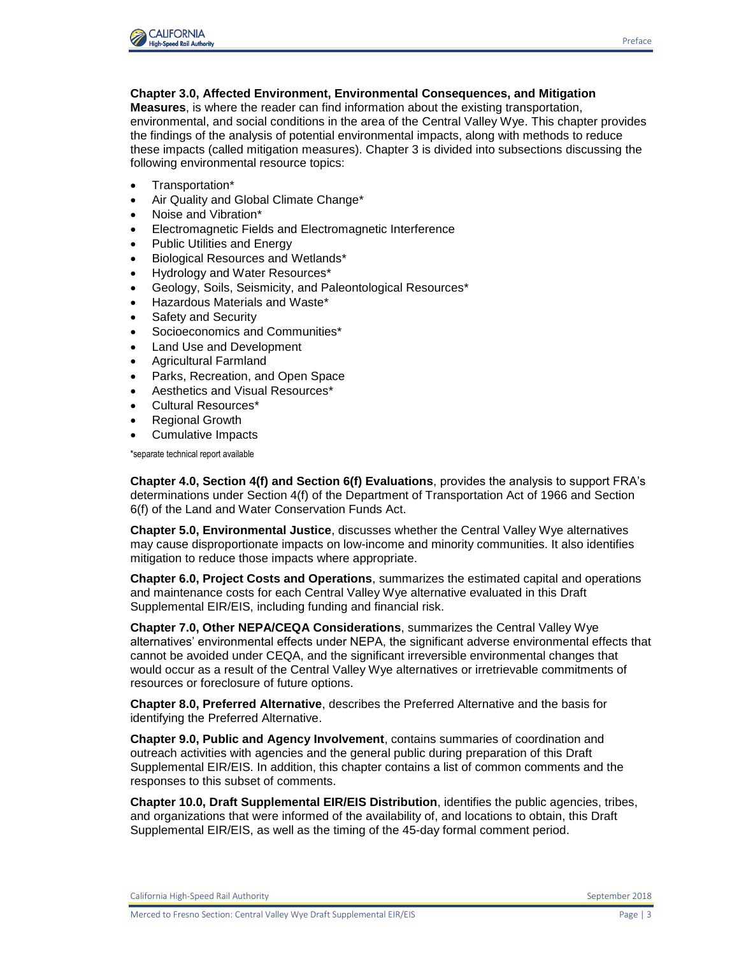

## **Chapter 3.0, Affected Environment, Environmental Consequences, and Mitigation**

**Measures**, is where the reader can find information about the existing transportation, environmental, and social conditions in the area of the Central Valley Wye. This chapter provides the findings of the analysis of potential environmental impacts, along with methods to reduce these impacts (called mitigation measures). Chapter 3 is divided into subsections discussing the following environmental resource topics:

- Transportation\*
- Air Quality and Global Climate Change\*
- Noise and Vibration\*
- Electromagnetic Fields and Electromagnetic Interference
- Public Utilities and Energy
- Biological Resources and Wetlands\*
- Hydrology and Water Resources\*
- Geology, Soils, Seismicity, and Paleontological Resources\*
- Hazardous Materials and Waste\*
- Safety and Security
- Socioeconomics and Communities\*
- Land Use and Development
- Agricultural Farmland
- Parks, Recreation, and Open Space
- Aesthetics and Visual Resources\*
- Cultural Resources\*
- Regional Growth
- Cumulative Impacts

\*separate technical report available

**Chapter 4.0, Section 4(f) and Section 6(f) Evaluations**, provides the analysis to support FRA's determinations under Section 4(f) of the Department of Transportation Act of 1966 and Section 6(f) of the Land and Water Conservation Funds Act.

**Chapter 5.0, Environmental Justice**, discusses whether the Central Valley Wye alternatives may cause disproportionate impacts on low-income and minority communities. It also identifies mitigation to reduce those impacts where appropriate.

**Chapter 6.0, Project Costs and Operations**, summarizes the estimated capital and operations and maintenance costs for each Central Valley Wye alternative evaluated in this Draft Supplemental EIR/EIS, including funding and financial risk.

**Chapter 7.0, Other NEPA/CEQA Considerations**, summarizes the Central Valley Wye alternatives' environmental effects under NEPA, the significant adverse environmental effects that cannot be avoided under CEQA, and the significant irreversible environmental changes that would occur as a result of the Central Valley Wye alternatives or irretrievable commitments of resources or foreclosure of future options.

**Chapter 8.0, Preferred Alternative**, describes the Preferred Alternative and the basis for identifying the Preferred Alternative.

**Chapter 9.0, Public and Agency Involvement**, contains summaries of coordination and outreach activities with agencies and the general public during preparation of this Draft Supplemental EIR/EIS. In addition, this chapter contains a list of common comments and the responses to this subset of comments.

**Chapter 10.0, Draft Supplemental EIR/EIS Distribution**, identifies the public agencies, tribes, and organizations that were informed of the availability of, and locations to obtain, this Draft Supplemental EIR/EIS, as well as the timing of the 45-day formal comment period.

California High-Speed Rail Authority September 2018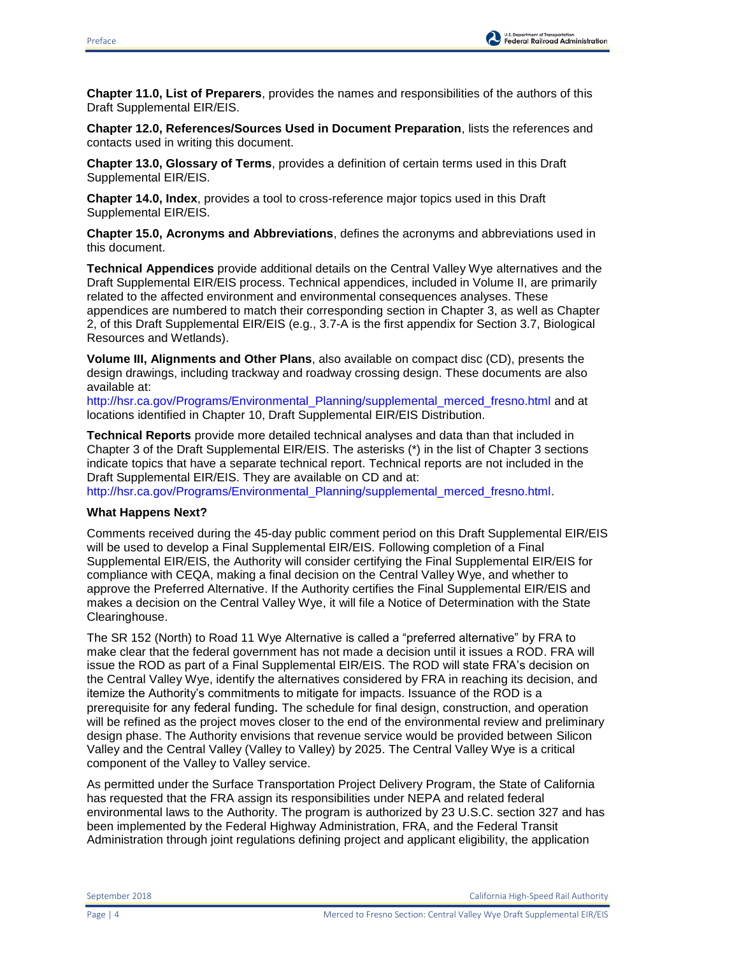

**Chapter 11.0, List of Preparers**, provides the names and responsibilities of the authors of this Draft Supplemental EIR/EIS.

**Chapter 12.0, References/Sources Used in Document Preparation**, lists the references and contacts used in writing this document.

**Chapter 13.0, Glossary of Terms**, provides a definition of certain terms used in this Draft Supplemental EIR/EIS.

**Chapter 14.0, Index**, provides a tool to cross-reference major topics used in this Draft Supplemental EIR/EIS.

**Chapter 15.0, Acronyms and Abbreviations**, defines the acronyms and abbreviations used in this document.

**Technical Appendices** provide additional details on the Central Valley Wye alternatives and the Draft Supplemental EIR/EIS process. Technical appendices, included in Volume II, are primarily related to the affected environment and environmental consequences analyses. These appendices are numbered to match their corresponding section in Chapter 3, as well as Chapter 2, of this Draft Supplemental EIR/EIS (e.g., 3.7-A is the first appendix for Section 3.7, Biological Resources and Wetlands).

**Volume III, Alignments and Other Plans**, also available on compact disc (CD), presents the design drawings, including trackway and roadway crossing design. These documents are also available at:

[http://hsr.ca.gov/Programs/Environmental\\_Planning/supplemental\\_merced\\_fresno.html](http://hsr.ca.gov/Programs/Environmental_Planning/supplemental_merced_fresno.html) and at locations identified in Chapter 10, Draft Supplemental EIR/EIS Distribution.

**Technical Reports** provide more detailed technical analyses and data than that included in Chapter 3 of the Draft Supplemental EIR/EIS. The asterisks (\*) in the list of Chapter 3 sections indicate topics that have a separate technical report. Technical reports are not included in the Draft Supplemental EIR/EIS. They are available on CD and at:

[http://hsr.ca.gov/Programs/Environmental\\_Planning/supplemental\\_merced\\_fresno.html.](http://hsr.ca.gov/Programs/Environmental_Planning/supplemental_merced_fresno.html)

## **What Happens Next?**

Comments received during the 45-day public comment period on this Draft Supplemental EIR/EIS will be used to develop a Final Supplemental EIR/EIS. Following completion of a Final Supplemental EIR/EIS, the Authority will consider certifying the Final Supplemental EIR/EIS for compliance with CEQA, making a final decision on the Central Valley Wye, and whether to approve the Preferred Alternative. If the Authority certifies the Final Supplemental EIR/EIS and makes a decision on the Central Valley Wye, it will file a Notice of Determination with the State Clearinghouse.

The SR 152 (North) to Road 11 Wye Alternative is called a "preferred alternative" by FRA to make clear that the federal government has not made a decision until it issues a ROD. FRA will issue the ROD as part of a Final Supplemental EIR/EIS. The ROD will state FRA's decision on the Central Valley Wye, identify the alternatives considered by FRA in reaching its decision, and itemize the Authority's commitments to mitigate for impacts. Issuance of the ROD is a prerequisite for any federal funding. The schedule for final design, construction, and operation will be refined as the project moves closer to the end of the environmental review and preliminary design phase. The Authority envisions that revenue service would be provided between Silicon Valley and the Central Valley (Valley to Valley) by 2025. The Central Valley Wye is a critical component of the Valley to Valley service.

As permitted under the Surface Transportation Project Delivery Program, the State of California has requested that the FRA assign its responsibilities under NEPA and related federal environmental laws to the Authority. The program is authorized by 23 U.S.C. section 327 and has been implemented by the Federal Highway Administration, FRA, and the Federal Transit Administration through joint regulations defining project and applicant eligibility, the application